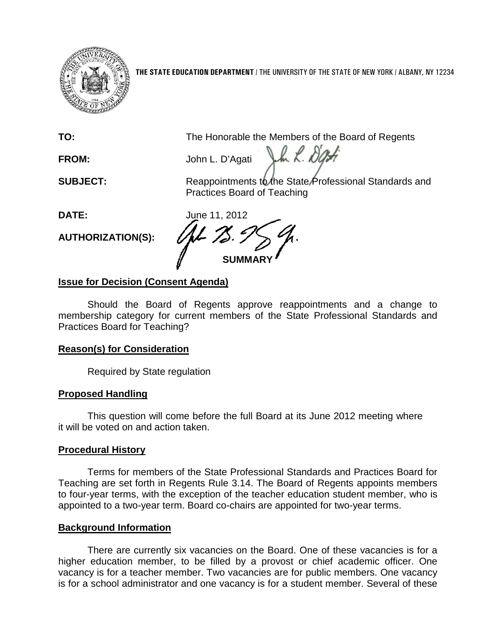

**THE STATE EDUCATION DEPARTMENT** / THE UNIVERSITY OF THE STATE OF NEW YORK / ALBANY, NY 12234

**TO:** The Honorable the Members of the Board of Regents

July R. DOB **FROM:** John L. D'Agati

**SUBJECT:** Reappointments to the State Professional Standards and Practices Board of Teaching

**DATE:** June 11, 2012

**AUTHORIZATION(S):**

**SUMMARY**

# **Issue for Decision (Consent Agenda)**

Should the Board of Regents approve reappointments and a change to membership category for current members of the State Professional Standards and Practices Board for Teaching?

## **Reason(s) for Consideration**

Required by State regulation

## **Proposed Handling**

This question will come before the full Board at its June 2012 meeting where it will be voted on and action taken.

# **Procedural History**

Terms for members of the State Professional Standards and Practices Board for Teaching are set forth in Regents Rule 3.14. The Board of Regents appoints members to four-year terms, with the exception of the teacher education student member, who is appointed to a two-year term. Board co-chairs are appointed for two-year terms.

## **Background Information**

There are currently six vacancies on the Board. One of these vacancies is for a higher education member, to be filled by a provost or chief academic officer. One vacancy is for a teacher member. Two vacancies are for public members. One vacancy is for a school administrator and one vacancy is for a student member. Several of these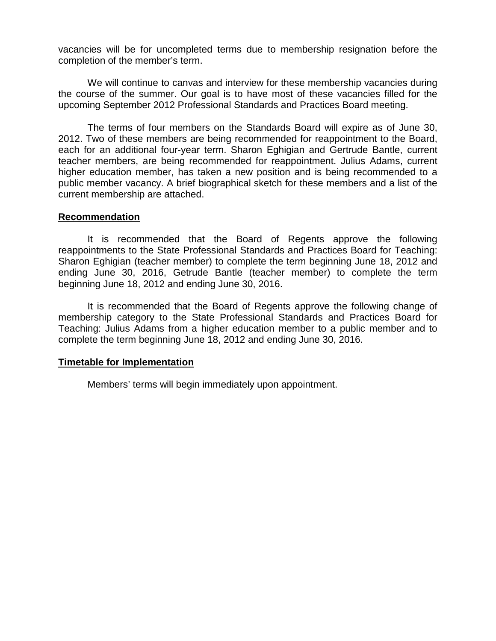vacancies will be for uncompleted terms due to membership resignation before the completion of the member's term.

We will continue to canvas and interview for these membership vacancies during the course of the summer. Our goal is to have most of these vacancies filled for the upcoming September 2012 Professional Standards and Practices Board meeting.

The terms of four members on the Standards Board will expire as of June 30, 2012. Two of these members are being recommended for reappointment to the Board, each for an additional four-year term. Sharon Eghigian and Gertrude Bantle, current teacher members, are being recommended for reappointment. Julius Adams, current higher education member, has taken a new position and is being recommended to a public member vacancy. A brief biographical sketch for these members and a list of the current membership are attached.

#### **Recommendation**

It is recommended that the Board of Regents approve the following reappointments to the State Professional Standards and Practices Board for Teaching: Sharon Eghigian (teacher member) to complete the term beginning June 18, 2012 and ending June 30, 2016, Getrude Bantle (teacher member) to complete the term beginning June 18, 2012 and ending June 30, 2016.

It is recommended that the Board of Regents approve the following change of membership category to the State Professional Standards and Practices Board for Teaching: Julius Adams from a higher education member to a public member and to complete the term beginning June 18, 2012 and ending June 30, 2016.

### **Timetable for Implementation**

Members' terms will begin immediately upon appointment.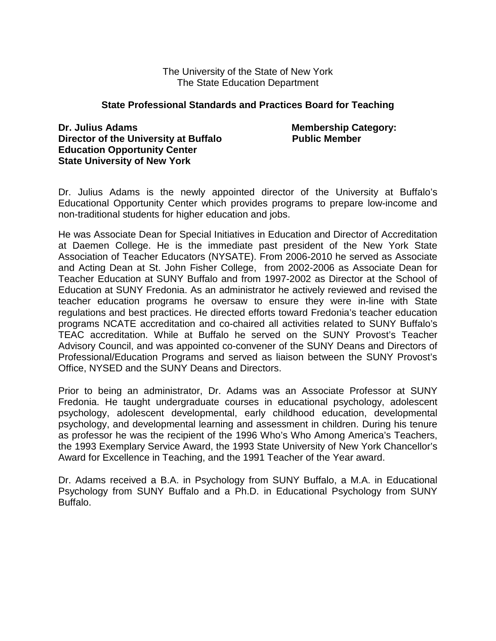The University of the State of New York The State Education Department

#### **State Professional Standards and Practices Board for Teaching**

**Dr. Julius Adams** Membership Category: **Director of the University at Buffalo Fig. 2.1 Public Member Education Opportunity Center State University of New York**

Dr. Julius Adams is the newly appointed director of the University at Buffalo's Educational Opportunity Center which provides programs to prepare low-income and non-traditional students for higher education and jobs.

He was Associate Dean for Special Initiatives in Education and Director of Accreditation at Daemen College. He is the immediate past president of the New York State Association of Teacher Educators (NYSATE). From 2006-2010 he served as Associate and Acting Dean at St. John Fisher College, from 2002-2006 as Associate Dean for Teacher Education at SUNY Buffalo and from 1997-2002 as Director at the School of Education at SUNY Fredonia. As an administrator he actively reviewed and revised the teacher education programs he oversaw to ensure they were in-line with State regulations and best practices. He directed efforts toward Fredonia's teacher education programs NCATE accreditation and co-chaired all activities related to SUNY Buffalo's TEAC accreditation. While at Buffalo he served on the SUNY Provost's Teacher Advisory Council, and was appointed co-convener of the SUNY Deans and Directors of Professional/Education Programs and served as liaison between the SUNY Provost's Office, NYSED and the SUNY Deans and Directors.

Prior to being an administrator, Dr. Adams was an Associate Professor at SUNY Fredonia. He taught undergraduate courses in educational psychology, adolescent psychology, adolescent developmental, early childhood education, developmental psychology, and developmental learning and assessment in children. During his tenure as professor he was the recipient of the 1996 Who's Who Among America's Teachers, the 1993 Exemplary Service Award, the 1993 State University of New York Chancellor's Award for Excellence in Teaching, and the 1991 Teacher of the Year award.

Dr. Adams received a B.A. in Psychology from SUNY Buffalo, a M.A. in Educational Psychology from SUNY Buffalo and a Ph.D. in Educational Psychology from SUNY Buffalo.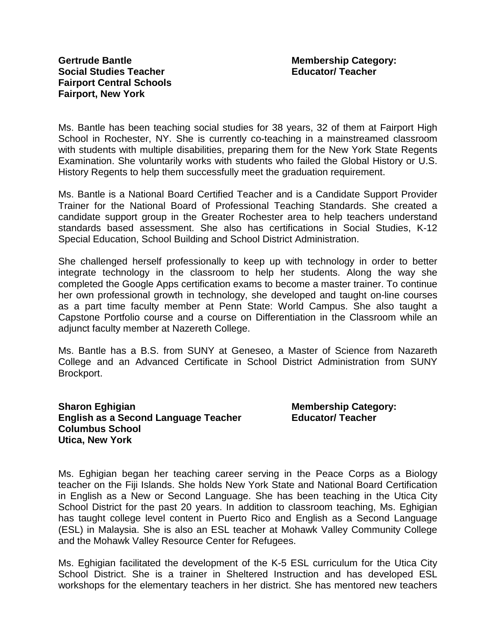Ms. Bantle has been teaching social studies for 38 years, 32 of them at Fairport High School in Rochester, NY. She is currently co-teaching in a mainstreamed classroom with students with multiple disabilities, preparing them for the New York State Regents Examination. She voluntarily works with students who failed the Global History or U.S. History Regents to help them successfully meet the graduation requirement.

Ms. Bantle is a National Board Certified Teacher and is a Candidate Support Provider Trainer for the National Board of Professional Teaching Standards. She created a candidate support group in the Greater Rochester area to help teachers understand standards based assessment. She also has certifications in Social Studies, K-12 Special Education, School Building and School District Administration.

She challenged herself professionally to keep up with technology in order to better integrate technology in the classroom to help her students. Along the way she completed the Google Apps certification exams to become a master trainer. To continue her own professional growth in technology, she developed and taught on-line courses as a part time faculty member at Penn State: World Campus. She also taught a Capstone Portfolio course and a course on Differentiation in the Classroom while an adjunct faculty member at Nazereth College.

Ms. Bantle has a B.S. from SUNY at Geneseo, a Master of Science from Nazareth College and an Advanced Certificate in School District Administration from SUNY Brockport.

#### **Sharon Eghigian Membership Category: Membership Category: English as a Second Language Teacher Educator/ Teacher Columbus School Utica, New York**

Ms. Eghigian began her teaching career serving in the Peace Corps as a Biology teacher on the Fiji Islands. She holds New York State and National Board Certification in English as a New or Second Language. She has been teaching in the Utica City School District for the past 20 years. In addition to classroom teaching, Ms. Eghigian has taught college level content in Puerto Rico and English as a Second Language (ESL) in Malaysia. She is also an ESL teacher at Mohawk Valley Community College and the Mohawk Valley Resource Center for Refugees.

Ms. Eghigian facilitated the development of the K-5 ESL curriculum for the Utica City School District. She is a trainer in Sheltered Instruction and has developed ESL workshops for the elementary teachers in her district. She has mentored new teachers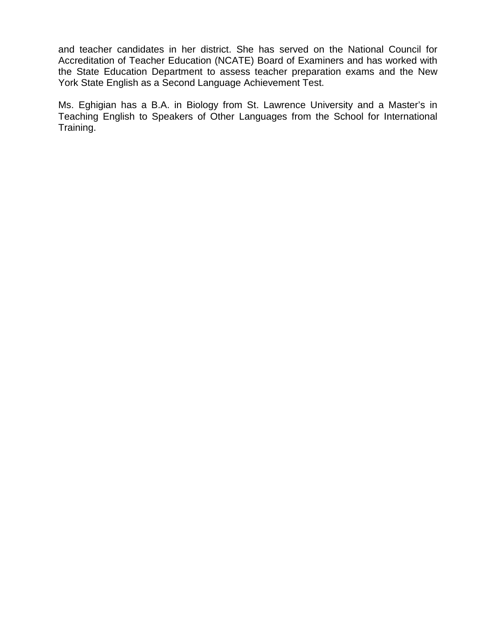and teacher candidates in her district. She has served on the National Council for Accreditation of Teacher Education (NCATE) Board of Examiners and has worked with the State Education Department to assess teacher preparation exams and the New York State English as a Second Language Achievement Test.

Ms. Eghigian has a B.A. in Biology from St. Lawrence University and a Master's in Teaching English to Speakers of Other Languages from the School for International Training.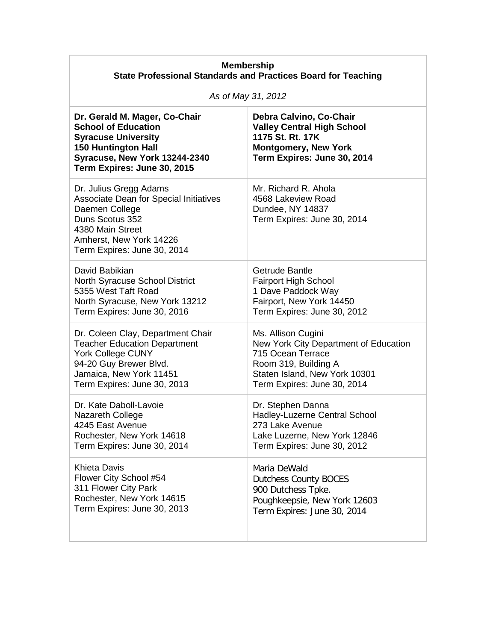| <b>Membership</b><br><b>State Professional Standards and Practices Board for Teaching</b>                                                                                                  |                                                                                                                                                |
|--------------------------------------------------------------------------------------------------------------------------------------------------------------------------------------------|------------------------------------------------------------------------------------------------------------------------------------------------|
| As of May 31, 2012                                                                                                                                                                         |                                                                                                                                                |
| Dr. Gerald M. Mager, Co-Chair<br><b>School of Education</b><br><b>Syracuse University</b><br><b>150 Huntington Hall</b><br>Syracuse, New York 13244-2340<br>Term Expires: June 30, 2015    | Debra Calvino, Co-Chair<br><b>Valley Central High School</b><br>1175 St. Rt. 17K<br><b>Montgomery, New York</b><br>Term Expires: June 30, 2014 |
| Dr. Julius Gregg Adams<br><b>Associate Dean for Special Initiatives</b><br>Daemen College<br>Duns Scotus 352<br>4380 Main Street<br>Amherst, New York 14226<br>Term Expires: June 30, 2014 | Mr. Richard R. Ahola<br>4568 Lakeview Road<br>Dundee, NY 14837<br>Term Expires: June 30, 2014                                                  |
| David Babikian                                                                                                                                                                             | Getrude Bantle                                                                                                                                 |
| <b>North Syracuse School District</b>                                                                                                                                                      | <b>Fairport High School</b>                                                                                                                    |
| 5355 West Taft Road                                                                                                                                                                        | 1 Dave Paddock Way                                                                                                                             |
| North Syracuse, New York 13212                                                                                                                                                             | Fairport, New York 14450                                                                                                                       |
| Term Expires: June 30, 2016                                                                                                                                                                | Term Expires: June 30, 2012                                                                                                                    |
| Dr. Coleen Clay, Department Chair                                                                                                                                                          | Ms. Allison Cugini                                                                                                                             |
| <b>Teacher Education Department</b>                                                                                                                                                        | New York City Department of Education                                                                                                          |
| <b>York College CUNY</b>                                                                                                                                                                   | 715 Ocean Terrace                                                                                                                              |
| 94-20 Guy Brewer Blvd.                                                                                                                                                                     | Room 319, Building A                                                                                                                           |
| Jamaica, New York 11451                                                                                                                                                                    | Staten Island, New York 10301                                                                                                                  |
| Term Expires: June 30, 2013                                                                                                                                                                | Term Expires: June 30, 2014                                                                                                                    |
| Dr. Kate Daboll-Lavoie                                                                                                                                                                     | Dr. Stephen Danna                                                                                                                              |
| <b>Nazareth College</b>                                                                                                                                                                    | Hadley-Luzerne Central School                                                                                                                  |
| 4245 East Avenue                                                                                                                                                                           | 273 Lake Avenue                                                                                                                                |
| Rochester, New York 14618                                                                                                                                                                  | Lake Luzerne, New York 12846                                                                                                                   |
| Term Expires: June 30, 2014                                                                                                                                                                | Term Expires: June 30, 2012                                                                                                                    |
| <b>Khieta Davis</b>                                                                                                                                                                        | Maria DeWald                                                                                                                                   |
| Flower City School #54                                                                                                                                                                     | <b>Dutchess County BOCES</b>                                                                                                                   |
| 311 Flower City Park                                                                                                                                                                       | 900 Dutchess Tpke.                                                                                                                             |
| Rochester, New York 14615                                                                                                                                                                  | Poughkeepsie, New York 12603                                                                                                                   |
| Term Expires: June 30, 2013                                                                                                                                                                | Term Expires: June 30, 2014                                                                                                                    |